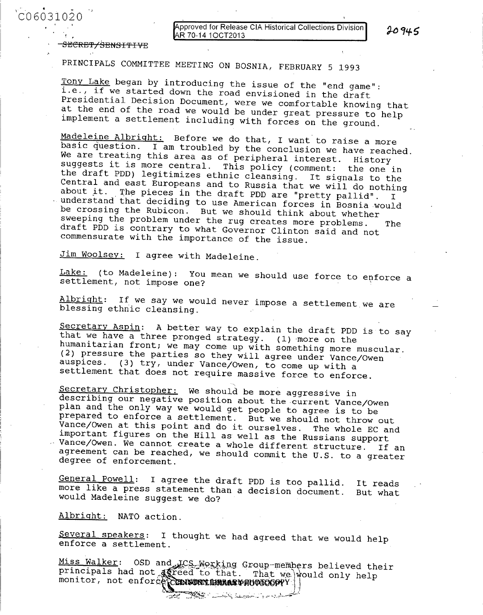**pproved for Release CIA Historical Collections Division R 70-14 10CT2013**

20945

<del>SECRET/SENSITIVE</del>

**PRINCIPALS COMMITTEE MEETING ON BOSNIA, FEBRUARY 5 1993**

Tony Lake began by introducing the issue of the "end game":<br>i.e., if we started down the road envisioned in the draft<br>Presidential Decision Document, were we comfortable knowing that<br>at the end of the road we would be unde

Madeleine Albright: Before we do that, I want to raise a more<br>basic question. I am troubled by the conclusion we have reached.<br>We are treating this area as of peripheral interest. History<br>suggests it is more central. This

**Jim Woolsey: I agree with Madeleine.**

**Lake: (to Madeleine): You mean we should use force to enforce a settlement, not impose one?**

**Albright: If we say we would never impose a settlement.we are blessing ethnic cleansing.**

Secretary Aspin: A better way to explain the draft PDD is to say<br>that we have a three pronged strategy. (1) more on the<br>humanitarian front; we may come up with something more muscular.<br>(2) pressure the parties so they will

Secretary Christopher: We should be more aggressive in<br>describing our negative position about the current Vance/Owen<br>plan and the only way we would get people to agree is to be<br>prepared to enforce a settlement. But we shou -Vance/Owen. important figures on the Hill as well as the Russians support<br>Vance/Owen. We cannot create a whole different structure. If an<br>agreement can be reached, we should commit the U.S. to a greater<br>degree of enforcement.

**General Powell: I agree the draft PDD is too pallid. It reads more like a press statement than a decision document. But what would Madeleine suggest we do?**

**Albright: NATO action.**

**Several speakers: I thought we had agreed** that **we would help enforce a settlement.**

Miss Walker: OSD and ICS Working Group-members believed their<br>principals had not agreed to that. That we would only help<br>monitor, not enforce CONNUCTURRARY PHOTOGOPY

والمحافظ والمستعمل والمستنقذ والمستنفذ والمستنفذ والمستعمل والمستنفذ والمستنفذ والمستنبذ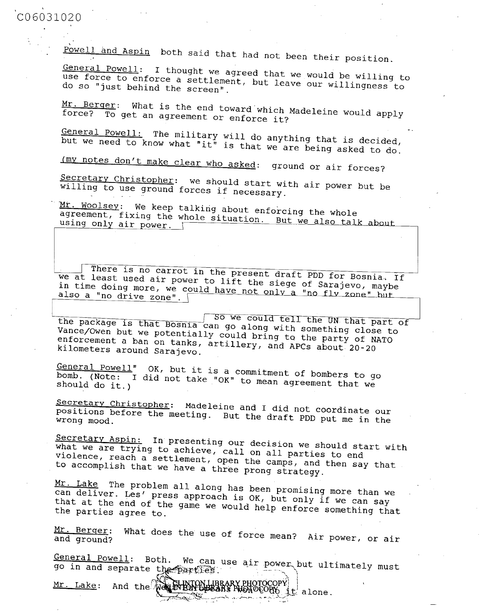Powell and Aspin both said that had not been their position.<br>General Powell: I thought we agreed that we would be willing to General Componse to enforce a settlement, but leave our willingness to use force to enforce a settlement, but leave our willingness to

<u>Mr.</u> force? Berger:  $\overline{\mathrm{\text{To}}}$  get What an is is the end toward which Madeleine would apply<br>agreement or enforce it?

but General we need Powell: to know The military will do anything that is decided,<br>ow what "it" is that we are being asked to do.

(my notes don't make clear who asked: ground or air forces?

Secretary Secretary Christopher: we should start with air power but be<br>willing to use ground forces if necessary

willing to use ground forces if necessary.<br>Mr. Woolsey: We keep talking about enforcing the whole<br>agreement, fixing the whole situation. But we also tall<br>using only air power. using only air fixing ng the whole situation. But we also talk

we at There least is used no air There is no carrot in the present draft PDD for Bosnia. If<br>we at least used air power to lift the siege of Sarajevo, maybe<br>in time doing more, we could have not only a "no flagevo, maybe in time doing more, we could have not only a "no fly zone" hut

the package is that Bosnia can go along with something close to Vance/Owen but we potentially could bring to the outling close to vance/Owen but we potentially could bring to the party of NATO enforcement a ban on tanks, artillery, and APCs about 20-20

General Powell" OK, but it is a commitment of bombers to go bomb. (Note: I did not take "OK" to mean agreement that we should do it.)

Secretary Secretary Christopher: Madeleine and I did not coordinate our<br>positions before the meeting. But the draft PDD put me in the positions before the meeting. But the draft PDD put me in the

Secretary Aspin: In presenting our decision we should start with what we are trying to achieve, call on all parties to end<br>violence, reach a settlement, open the camps, and then say<br>to accomplish that we have a three prong strategy. violence, reach a settlement, open the camps, and then say that

Mr. Lake The problem all along has been promising more than we that at the end that at the end of the game we would help enforce something that the parties agree to.

Mr. Berger: and ground? What does the use of force mean? Air power, or air

General Powell: Both. We can use air power but ultimately must go in and separate the parties.

Mr. Lake: And the Well Hold business PHOTOCOPY; lalone.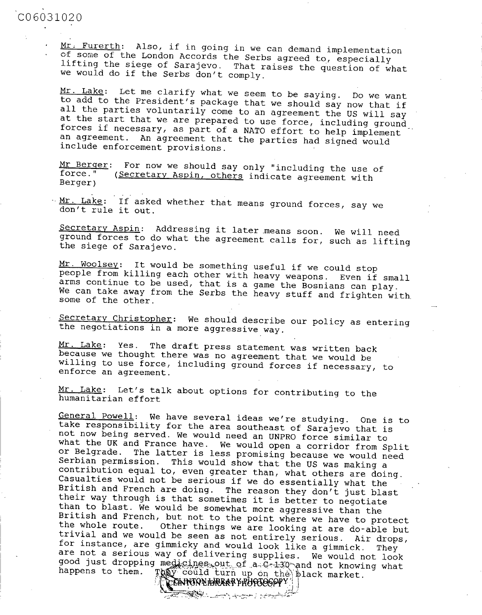Mr. Furerth: Also, if in going in we can demand implementation<br>of some of the London Accords the Serbs agreed to, especially<br>lifting the siege of Sarajevo. That raises the question of what<br>we would do if the Serbs don't co

Mr. Lake: Let me clarify what we seem to be saying. Do we want<br>to add to the President's package that we should say now that if<br>all the parties voluntarily come to an agreement the US will say<br>at the start that we are prep

Mr Berger: For now we should say only "including the use of force." (Secretary Aspin, others indicate agreement with Berger)

 $\frac{Mr. \text{ Lake:}}{\text{don't rule it out.}}$  The sked whether that means ground forces, say we

Secretary Aspin: Addressing it later means soon. We will need ground forces to do what the agreement calls for, such as lifting the siege of Sarajevo.

Mr. Woolsey: It would be something useful if we could stop<br>people from killing each other with heavy weapons. Even if small<br>arms continue to be used, that is a game the Bosnians can play. We can take away from the Serbs the heavy stuff and frighten with some of the other.

Secretary Christopher: We should describe our policy as entering the negotiations in a more aggressive way.

Mr. Lake: Yes. The draft press statement was written back **because we** thought there **was no agreement** that we would be willing to use force, including ground forces if necessary, to **enforce an agreement.**

Mr. Lake: Let's talk about options for contributing to the humanitarian effort

<u>General Powell</u>: We have several ideas we're studying. One is to<br>take responsibility for the area southeast of Sarajevo that is<br>not now heing served. We would need an UNPRO force similar to<br>what the UK and France have. W TO COULD turn up on the black market.

<u> The Company and the company of the company of the company of the company of the company of the company of the company of the company of the company of the company of the company of the company of the company of the compa</u>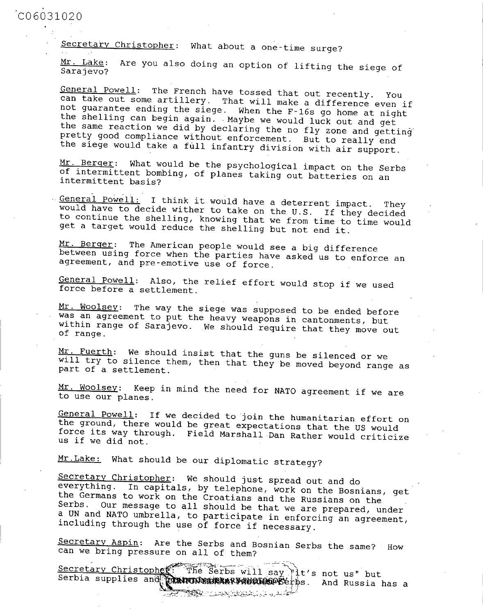## CO **6031020**

Secretary Christopher: What about a one-time surge?

Mr. Lake: Are you also doing an option of lifting the siege of Sarajevo?

General Powell: The French have tossed that out recently. You<br>can take out some artillery. That will make a difference even if<br>not guarantee ending the siege. When the F-16s go home at night<br>the shelling can begin again. M

Mr. Berger: What would be the psychological impact on the Serbs of intermittent bombing, of planes taking out batteries on an intermittent basis?

General Powell: I think it would have a deterrent impact. They<br>would have to decide wither to take on the U.S. If they decided<br>to continue the shelling, knowing that we from time to time would<br>get a target would reduce the

Mr. Berger: The American people would see a big difference between using force when the parties have asked us to enforce an agreement, and pre-emotive use of force.

General Powell: Also, the relief effort would stop if we used force before a settlement.

Mr. Woolsey: The way the siege was supposed to be ended before was an agreement to put the heavy weapons in cantonments, but within range of Sarajevo. We should require that they move out of range.

Mr. Fuerth: We should insist that the guns be silenced or we will try to silence them, then that they be moved beyond range as part of a settlement.

Mr. Woolsey: Keep in mind the need for NATO agreement if we are to use our planes.

General Powell: If we decided to join the humanitarian effort on the ground, there would be great expectations that the US would force its way through. Field Marshall Dan Rather would criticize us if we did not.

Mr. Lake: What should be our diplomatic strategy?

Secretary Christopher: We should just spread out and do<br>everything. In capitals, by telephone, work on the Bosnians, get<br>the Germans to work on the Croatians and the Russians on the<br>Serbs. Our message to all should be that

Secretary Aspin: Are the Serbs and Bosnian Serbs the same? How can we bring pressure on all of them?

Secretary Christopher The Serbs will say "it's not us" but<br>Serbia supplies and **COMPONEMERARE HORDERE**THS. And Russia has a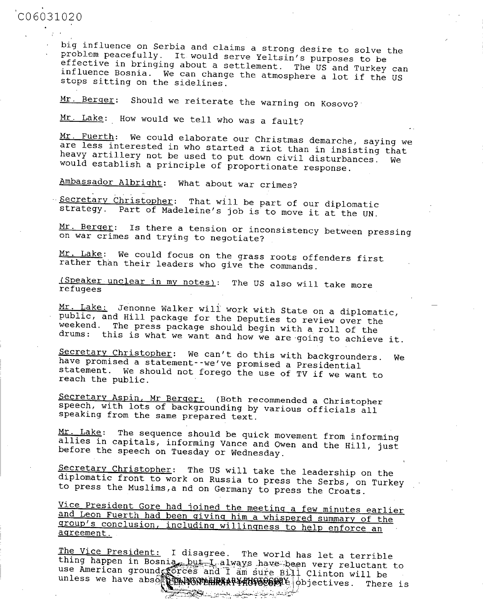big influence on Serbia and claims a strong desire to solve the<br>problem peacefully. It would serve Yeltsin's purposes to be<br>effective in bringing about a settlement. The US and Turkey can<br>influence Bosnia. We can change th

Mr. Berger: Should we reiterate the warning on Kosovo?

Mr. Lake: How would we tell who was a fault?

Mr. Fuerth: We could elaborate our Christmas demarche, saying we are less interested in who started a riot than in insisting that heavy artillery not be used to put down civil disturbances. We would establish a principle o

Ambassador Albright: What about war crimes?

Secretary Christopher: That will be part of our diplomatic strategy. Part of Madeleine's job is to move it at the UN.

Mr. Berger: Is there a tension or inconsistency between pressing on war crimes and trying to negotiate?

Mr. Lake: We could focus on the grass roots offenders first rather than their leaders who give the commands.

(Speaker unclear in my notes): The US also will take more refugees

Mr. Lake: Jenonne Walker will work with State on a diplomatic, public, and Hill package for the Deputies to review over the weekend. The press package should begin with a roll of the drums: this is what we want and how we

Secretary Christopher: We can't do this with backgrounders. We have promised a statement--we've promised a Presidential statement. We should not forego the use of TV if we want to reach the public.

Secretary Aspin, Mr Berger: (Both recommended a Christopher speech, with lots of backgrounding by various officials all speaking from the same prepared text.

Mr. Lake: The sequence should be quick movement from informing allies in capitals, informing Vance and Owen and the Hill, just before the speech on Tuesday or Wednesday.

Secretary Christopher: The US will take the leadership on the diplomatic front to work on Russia to press the Serbs, on Turkey to press the Muslims,a nd on Germany to press the Croats.

Vice President Gore had joined the meeting a few minutes earlier<br>and Leon Fuerth had been giving him a whispered summary of the<br>group's conclusion, including willingness to help enforce an<br>agreement.

The Vice President: I disagree. The world has let a terrible<br>thing happen in Bosnia, but I always have been very reluctant to<br>use American ground Corces and I am sure Bill Clinton will be<br>unless we have absorted the Correc

<u> Tan Maria ya matsayi ya kusha jina 19</u>07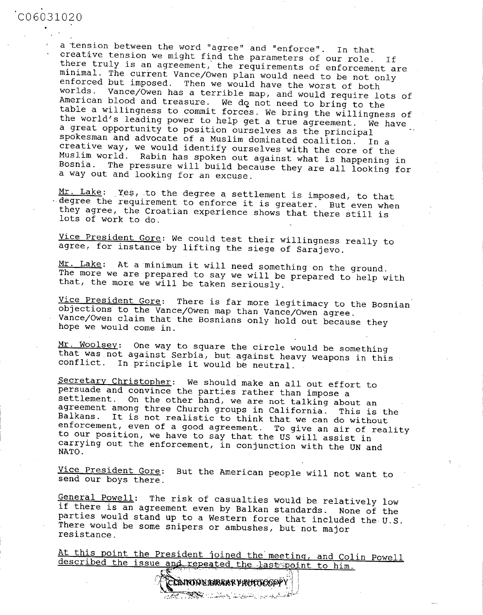a tension between the word "agree" and "enforce". In that<br>creative tension we might find the parameters of our role. If<br>there truly is an agreement, the requirements of enforcement are<br>minimal. The current Vance/Owen plan a way out and looking for an excuse.

Mr. Lake: Yes, to the degree a settlement is imposed, to that degree the requirement to enforce it is greater. But even when they agree, the Croatian experience shows that there still is lots of work to do.

Vice President Gore: We could test their willingness really to agree, for instance by lifting the siege of Sarajevo.

Mr. Lake: At a minimum it will need something on the ground.<br>The more we are prepared to say we will be prepared to help with that, the more we will be taken seriously.

Vice President Gore: There is far more legitimacy to the Bosnian objections to the Vance/Owen map than Vance/Owen agree. Vance/Owen claim that the Bosnians only hold out because they hope we would come in.

Mr. Woolsey: One way to square the circle would be something that was not against Serbia, but against heavy weapons in this conflict. In principle it would be neutral.

Secretary Christopher: We should make an all out effort to<br>persuade and convince the parties rather than impose a<br>settlement. On the other hand, we are not talking about an<br>agreement among three Church groups in California NATO.

Vice President Gore: But the American people will not want to send our boys there.

General Powell: The risk of casualties would be relatively low<br>if there is an agreement even by Balkan standards. None of the<br>parties would stand up to a Western force that included the U.S.<br>There would be some snipers or

At this point the President joined the meeting, and Colin Powell<br>described the issue and repeated the last point to him.

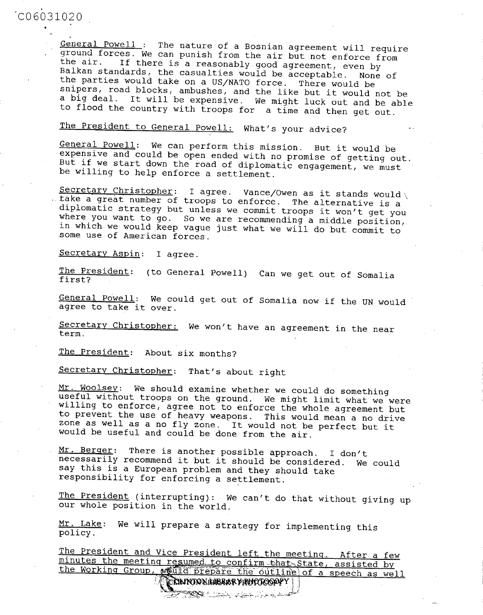General Powell: The nature of a Bosnian agreement will require<br>ground forces. We can punish from the air but not enforce from<br>the air. If there is a reasonably good agreement, even by<br>Balkan standards, the casualties would to flood the country with troops for a time and then get out.

## The President to General Powell: What's your advice?

General Powell: We can perform this mission. But it would be expensive and could be open ended with no promise of getting out.<br>But if we start down the road of diplomatic engagement, we must be willing to help enforce a se

Secretary Christopher: I agree. Vance/Owen as it stands would<br>take a great number of troops to enforce. The alternative is a<br>diplomatic strategy but unless we commit troops it won't get you<br>where you want to go. So we are some use of American forces.

Secretary Aspin: I agree.

The President: (to General Powell) Can we get out of Somalia<br>first?

General Powell: We could get out of Somalia now if the UN would agree to take **it** over.

Secretary Christopher: We won't have an agreement in the near term.

The President: About six months?

Secretary Christopher: That's about right

Mr. Woolsey: We should examine whether we could do something<br>useful without troops on the ground. We might limit what we were<br>willing to enforce, agree not to enforce the whole agreement but<br>to prevent the use of heavy wea zone as well as a no fly zone. It would not be perfect but it would be useful and could be done from the air.

Mr. Berger: There is another possible approach. I don't necessarily recommend it but it should be considered. We could say this is a European problem and they should take responsibility for enforcing a settlement.

The President (interrupting): We can't do that without giving up our whole position in the world.

Mr. Lake: We will prepare a strategy for implementing this policy.

The President and Vice President left the meeting. After a few minutes the meeting resumed to confirm that State, assisted by the Working Group, we file pare the outline of a speech as well  $\sqrt{\frac{1}{2}$  ( $\sqrt{\frac{1}{2}}$